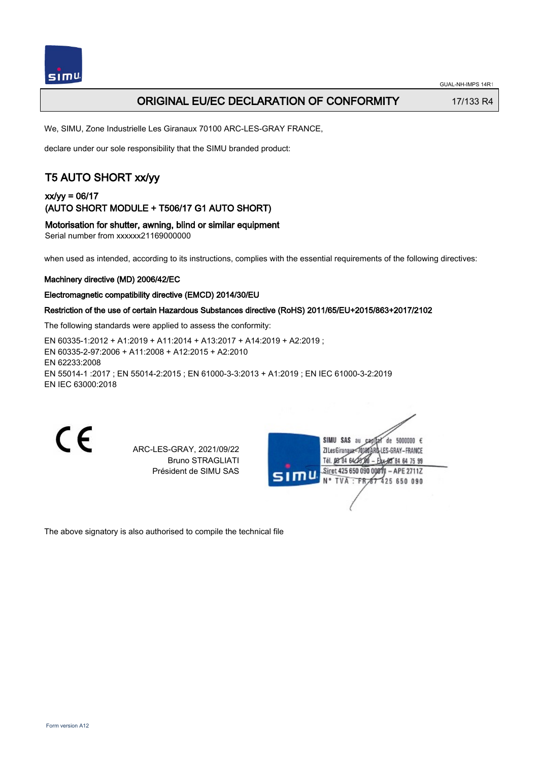

## ORIGINAL EU/EC DECLARATION OF CONFORMITY 17/133 R4

We, SIMU, Zone Industrielle Les Giranaux 70100 ARC-LES-GRAY FRANCE,

declare under our sole responsibility that the SIMU branded product:

# T5 AUTO SHORT xx/yy

xx/yy = 06/17 (AUTO SHORT MODULE + T506/17 G1 AUTO SHORT)

Motorisation for shutter, awning, blind or similar equipment

Serial number from xxxxxx21169000000

when used as intended, according to its instructions, complies with the essential requirements of the following directives:

#### Machinery directive (MD) 2006/42/EC

#### Electromagnetic compatibility directive (EMCD) 2014/30/EU

### Restriction of the use of certain Hazardous Substances directive (RoHS) 2011/65/EU+2015/863+2017/2102

The following standards were applied to assess the conformity:

EN 60335‑1:2012 + A1:2019 + A11:2014 + A13:2017 + A14:2019 + A2:2019 ; EN 60335‑2‑97:2006 + A11:2008 + A12:2015 + A2:2010 EN 62233:2008 EN 55014‑1 :2017 ; EN 55014‑2:2015 ; EN 61000‑3‑3:2013 + A1:2019 ; EN IEC 61000‑3‑2:2019 EN IEC 63000:2018

 $\epsilon$ 

ARC-LES-GRAY, 2021/09/22 Bruno STRAGLIATI Président de SIMU SAS

| 51T | SIMU SAS<br>de 5000000 $\epsilon$<br>au<br>JATARQ-LES-GRAY-FRANCE<br>ZI Les Giranaux<br>Tél. 08 84 64 28 00<br>Eax-85 84 64 75 99 |  |
|-----|-----------------------------------------------------------------------------------------------------------------------------------|--|
|     | Siret 425 650 090 00811 - APE 2711Z<br>N° TVA : FR 67 425 650 090                                                                 |  |
|     |                                                                                                                                   |  |

The above signatory is also authorised to compile the technical file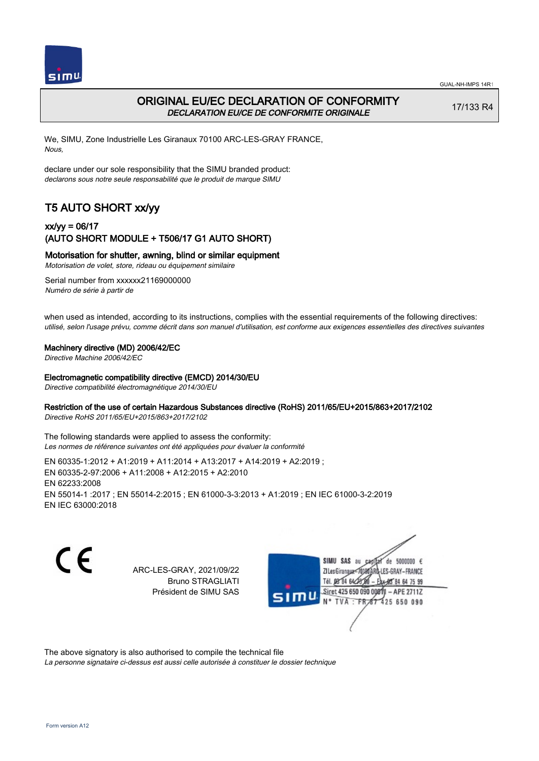

# ORIGINAL EU/EC DECLARATION OF CONFORMITY DECLARATION EU/CE DE CONFORMITE ORIGINALE

17/133 R4

We, SIMU, Zone Industrielle Les Giranaux 70100 ARC-LES-GRAY FRANCE, Nous,

declare under our sole responsibility that the SIMU branded product: declarons sous notre seule responsabilité que le produit de marque SIMU

# T5 AUTO SHORT xx/yy

## xx/yy = 06/17 (AUTO SHORT MODULE + T506/17 G1 AUTO SHORT)

### Motorisation for shutter, awning, blind or similar equipment

Motorisation de volet, store, rideau ou équipement similaire

Serial number from xxxxxx21169000000 Numéro de série à partir de

when used as intended, according to its instructions, complies with the essential requirements of the following directives: utilisé, selon l'usage prévu, comme décrit dans son manuel d'utilisation, est conforme aux exigences essentielles des directives suivantes

### Machinery directive (MD) 2006/42/EC

Directive Machine 2006/42/EC

#### Electromagnetic compatibility directive (EMCD) 2014/30/EU

Directive compatibilité électromagnétique 2014/30/EU

### Restriction of the use of certain Hazardous Substances directive (RoHS) 2011/65/EU+2015/863+2017/2102

Directive RoHS 2011/65/EU+2015/863+2017/2102

The following standards were applied to assess the conformity: Les normes de référence suivantes ont été appliquées pour évaluer la conformité

EN 60335‑1:2012 + A1:2019 + A11:2014 + A13:2017 + A14:2019 + A2:2019 ; EN 60335‑2‑97:2006 + A11:2008 + A12:2015 + A2:2010 EN 62233:2008 EN 55014‑1 :2017 ; EN 55014‑2:2015 ; EN 61000‑3‑3:2013 + A1:2019 ; EN IEC 61000‑3‑2:2019 EN IEC 63000:2018

C F

ARC-LES-GRAY, 2021/09/22 Bruno STRAGLIATI Président de SIMU SAS



The above signatory is also authorised to compile the technical file

La personne signataire ci-dessus est aussi celle autorisée à constituer le dossier technique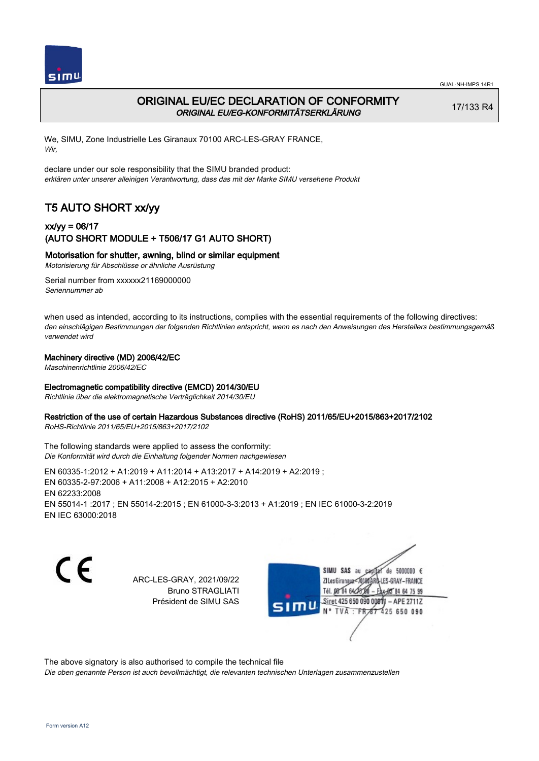



## ORIGINAL EU/EC DECLARATION OF CONFORMITY ORIGINAL EU/EG-KONFORMITÄTSERKLÄRUNG

17/133 R4

We, SIMU, Zone Industrielle Les Giranaux 70100 ARC-LES-GRAY FRANCE, Wir,

declare under our sole responsibility that the SIMU branded product: erklären unter unserer alleinigen Verantwortung, dass das mit der Marke SIMU versehene Produkt

# T5 AUTO SHORT xx/yy

## xx/yy = 06/17 (AUTO SHORT MODULE + T506/17 G1 AUTO SHORT)

### Motorisation for shutter, awning, blind or similar equipment

Motorisierung für Abschlüsse or ähnliche Ausrüstung

Serial number from xxxxxx21169000000 Seriennummer ab

when used as intended, according to its instructions, complies with the essential requirements of the following directives: den einschlägigen Bestimmungen der folgenden Richtlinien entspricht, wenn es nach den Anweisungen des Herstellers bestimmungsgemäß verwendet wird

### Machinery directive (MD) 2006/42/EC

Maschinenrichtlinie 2006/42/EC

### Electromagnetic compatibility directive (EMCD) 2014/30/EU

Richtlinie über die elektromagnetische Verträglichkeit 2014/30/EU

#### Restriction of the use of certain Hazardous Substances directive (RoHS) 2011/65/EU+2015/863+2017/2102

RoHS-Richtlinie 2011/65/EU+2015/863+2017/2102

The following standards were applied to assess the conformity: Die Konformität wird durch die Einhaltung folgender Normen nachgewiesen

EN 60335‑1:2012 + A1:2019 + A11:2014 + A13:2017 + A14:2019 + A2:2019 ; EN 60335‑2‑97:2006 + A11:2008 + A12:2015 + A2:2010 EN 62233:2008 EN 55014‑1 :2017 ; EN 55014‑2:2015 ; EN 61000‑3‑3:2013 + A1:2019 ; EN IEC 61000‑3‑2:2019 EN IEC 63000:2018

C E

ARC-LES-GRAY, 2021/09/22 Bruno STRAGLIATI Président de SIMU SAS

SIMU SAS de 5000000  $\epsilon$ **ZILes Giranaux** ES-GRAY-FRANCE 64 75 99 Siret 425 650 090 00811  $-$  APE 2711Z 425 650 090

The above signatory is also authorised to compile the technical file

Die oben genannte Person ist auch bevollmächtigt, die relevanten technischen Unterlagen zusammenzustellen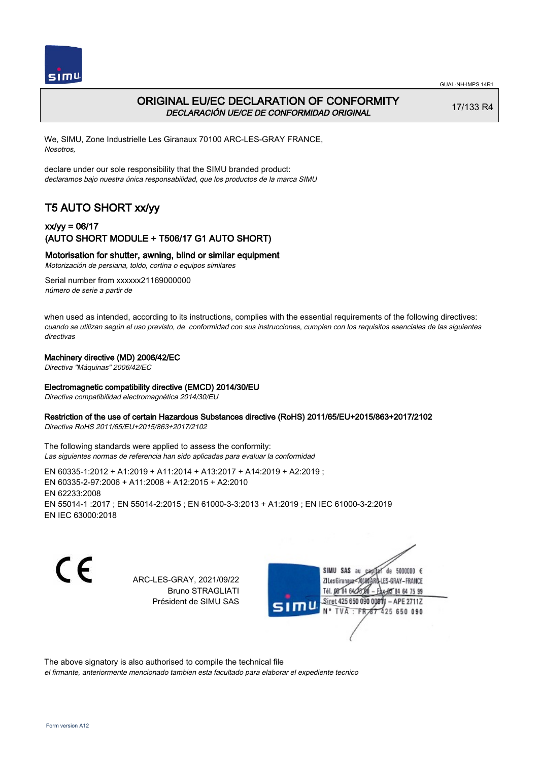



# ORIGINAL EU/EC DECLARATION OF CONFORMITY DECLARACIÓN UE/CE DE CONFORMIDAD ORIGINAL

17/133 R4

We, SIMU, Zone Industrielle Les Giranaux 70100 ARC-LES-GRAY FRANCE, Nosotros,

declare under our sole responsibility that the SIMU branded product: declaramos bajo nuestra única responsabilidad, que los productos de la marca SIMU

# T5 AUTO SHORT xx/yy

## xx/yy = 06/17 (AUTO SHORT MODULE + T506/17 G1 AUTO SHORT)

### Motorisation for shutter, awning, blind or similar equipment

Motorización de persiana, toldo, cortina o equipos similares

Serial number from xxxxxx21169000000 número de serie a partir de

when used as intended, according to its instructions, complies with the essential requirements of the following directives: cuando se utilizan según el uso previsto, de conformidad con sus instrucciones, cumplen con los requisitos esenciales de las siguientes directivas

### Machinery directive (MD) 2006/42/EC

Directiva "Máquinas" 2006/42/EC

#### Electromagnetic compatibility directive (EMCD) 2014/30/EU

Directiva compatibilidad electromagnética 2014/30/EU

#### Restriction of the use of certain Hazardous Substances directive (RoHS) 2011/65/EU+2015/863+2017/2102

Directiva RoHS 2011/65/EU+2015/863+2017/2102

The following standards were applied to assess the conformity: Las siguientes normas de referencia han sido aplicadas para evaluar la conformidad

EN 60335‑1:2012 + A1:2019 + A11:2014 + A13:2017 + A14:2019 + A2:2019 ; EN 60335‑2‑97:2006 + A11:2008 + A12:2015 + A2:2010 EN 62233:2008 EN 55014‑1 :2017 ; EN 55014‑2:2015 ; EN 61000‑3‑3:2013 + A1:2019 ; EN IEC 61000‑3‑2:2019 EN IEC 63000:2018

C E

ARC-LES-GRAY, 2021/09/22 Bruno STRAGLIATI Président de SIMU SAS

SIMU SAS au de 5000000 € **ZILes Giranaux** ES-GRAY-FRANCE 64 75 99 Siret 425 650 090 00811  $-$  APE 2711Z 425 650 090

The above signatory is also authorised to compile the technical file

el firmante, anteriormente mencionado tambien esta facultado para elaborar el expediente tecnico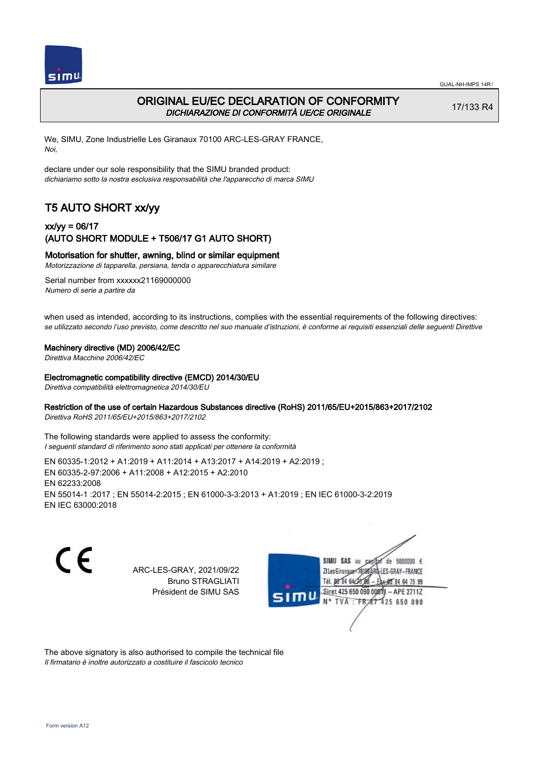

# ORIGINAL EU/EC DECLARATION OF CONFORMITY DICHIARAZIONE DI CONFORMITÀ UE/CE ORIGINALE

17/133 R4

We, SIMU, Zone Industrielle Les Giranaux 70100 ARC-LES-GRAY FRANCE, Noi,

declare under our sole responsibility that the SIMU branded product: dichiariamo sotto la nostra esclusiva responsabilità che l'appareccho di marca SIMU

# T5 AUTO SHORT xx/yy

### xx/yy = 06/17 (AUTO SHORT MODULE + T506/17 G1 AUTO SHORT)

#### Motorisation for shutter, awning, blind or similar equipment

Motorizzazione di tapparella, persiana, tenda o apparecchiatura similare

Serial number from xxxxxx21169000000 Numero di serie a partire da

when used as intended, according to its instructions, complies with the essential requirements of the following directives: se utilizzato secondo l'uso previsto, come descritto nel suo manuale d'istruzioni, è conforme ai requisiti essenziali delle seguenti Direttive

#### Machinery directive (MD) 2006/42/EC

Direttiva Macchine 2006/42/EC

#### Electromagnetic compatibility directive (EMCD) 2014/30/EU

Direttiva compatibilità elettromagnetica 2014/30/EU

### Restriction of the use of certain Hazardous Substances directive (RoHS) 2011/65/EU+2015/863+2017/2102

Direttiva RoHS 2011/65/EU+2015/863+2017/2102

The following standards were applied to assess the conformity: I seguenti standard di riferimento sono stati applicati per ottenere la conformità

EN 60335‑1:2012 + A1:2019 + A11:2014 + A13:2017 + A14:2019 + A2:2019 ; EN 60335‑2‑97:2006 + A11:2008 + A12:2015 + A2:2010 EN 62233:2008 EN 55014‑1 :2017 ; EN 55014‑2:2015 ; EN 61000‑3‑3:2013 + A1:2019 ; EN IEC 61000‑3‑2:2019 EN IEC 63000:2018

C F

ARC-LES-GRAY, 2021/09/22 Bruno STRAGLIATI Président de SIMU SAS



The above signatory is also authorised to compile the technical file Il firmatario è inoltre autorizzato a costituire il fascicolo tecnico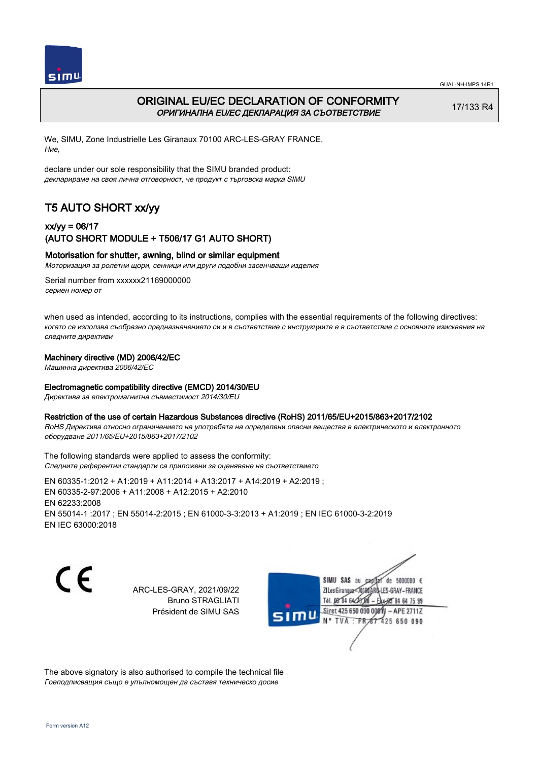



# ORIGINAL EU/EC DECLARATION OF CONFORMITY ОРИГИНАЛНА EU/EC ДЕКЛАРАЦИЯ ЗА СЪОТВЕТСТВИЕ

17/133 R4

We, SIMU, Zone Industrielle Les Giranaux 70100 ARC-LES-GRAY FRANCE, Ние,

declare under our sole responsibility that the SIMU branded product: декларираме на своя лична отговорност, че продукт с търговска марка SIMU

# T5 AUTO SHORT xx/yy

## xx/yy = 06/17 (AUTO SHORT MODULE + T506/17 G1 AUTO SHORT)

### Motorisation for shutter, awning, blind or similar equipment

Моторизация за ролетни щори, сенници или други подобни засенчващи изделия

Serial number from xxxxxx21169000000 сериен номер от

when used as intended, according to its instructions, complies with the essential requirements of the following directives: когато се използва съобразно предназначението си и в съответствие с инструкциите е в съответствие с основните изисквания на следните директиви

#### Machinery directive (MD) 2006/42/EC

Машинна директива 2006/42/EC

#### Electromagnetic compatibility directive (EMCD) 2014/30/EU

Директива за електромагнитна съвместимост 2014/30/EU

#### Restriction of the use of certain Hazardous Substances directive (RoHS) 2011/65/EU+2015/863+2017/2102

RoHS Директива относно ограничението на употребата на определени опасни вещества в електрическото и електронното оборудване 2011/65/EU+2015/863+2017/2102

The following standards were applied to assess the conformity: Следните референтни стандарти са приложени за оценяване на съответствието

EN 60335‑1:2012 + A1:2019 + A11:2014 + A13:2017 + A14:2019 + A2:2019 ; EN 60335‑2‑97:2006 + A11:2008 + A12:2015 + A2:2010 EN 62233:2008 EN 55014‑1 :2017 ; EN 55014‑2:2015 ; EN 61000‑3‑3:2013 + A1:2019 ; EN IEC 61000‑3‑2:2019 EN IEC 63000:2018

C F

ARC-LES-GRAY, 2021/09/22 Bruno STRAGLIATI Président de SIMU SAS



The above signatory is also authorised to compile the technical file Гоеподписващия също е упълномощен да съставя техническо досие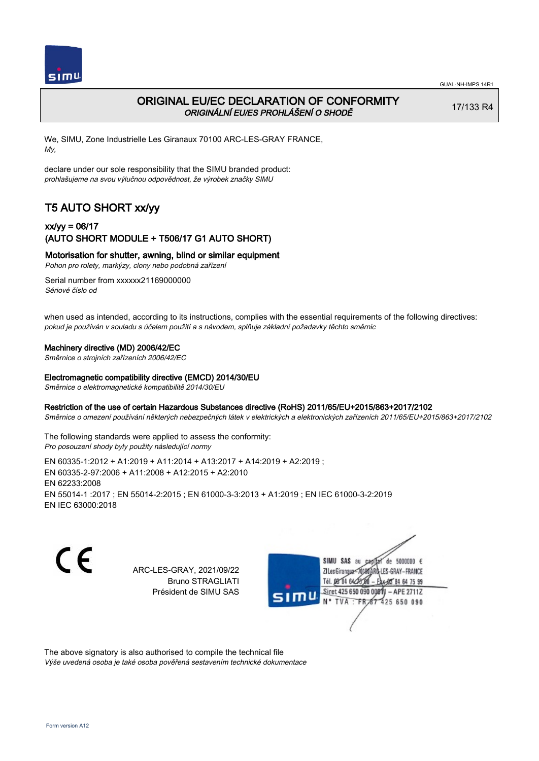

# ORIGINAL EU/EC DECLARATION OF CONFORMITY ORIGINÁLNÍ EU/ES PROHLÁŠENÍ O SHODĚ

17/133 R4

We, SIMU, Zone Industrielle Les Giranaux 70100 ARC-LES-GRAY FRANCE, My,

declare under our sole responsibility that the SIMU branded product: prohlašujeme na svou výlučnou odpovědnost, že výrobek značky SIMU

# T5 AUTO SHORT xx/yy

## xx/yy = 06/17 (AUTO SHORT MODULE + T506/17 G1 AUTO SHORT)

### Motorisation for shutter, awning, blind or similar equipment

Pohon pro rolety, markýzy, clony nebo podobná zařízení

Serial number from xxxxxx21169000000 Sériové číslo od

when used as intended, according to its instructions, complies with the essential requirements of the following directives: pokud je používán v souladu s účelem použití a s návodem, splňuje základní požadavky těchto směrnic

#### Machinery directive (MD) 2006/42/EC

Směrnice o strojních zařízeních 2006/42/EC

#### Electromagnetic compatibility directive (EMCD) 2014/30/EU

Směrnice o elektromagnetické kompatibilitě 2014/30/EU

#### Restriction of the use of certain Hazardous Substances directive (RoHS) 2011/65/EU+2015/863+2017/2102

Směrnice o omezení používání některých nebezpečných látek v elektrických a elektronických zařízeních 2011/65/EU+2015/863+2017/2102

The following standards were applied to assess the conformity: Pro posouzení shody byly použity následující normy

EN 60335‑1:2012 + A1:2019 + A11:2014 + A13:2017 + A14:2019 + A2:2019 ; EN 60335‑2‑97:2006 + A11:2008 + A12:2015 + A2:2010 EN 62233:2008 EN 55014‑1 :2017 ; EN 55014‑2:2015 ; EN 61000‑3‑3:2013 + A1:2019 ; EN IEC 61000‑3‑2:2019 EN IEC 63000:2018

C E

ARC-LES-GRAY, 2021/09/22 Bruno STRAGLIATI Président de SIMU SAS



The above signatory is also authorised to compile the technical file

Výše uvedená osoba je také osoba pověřená sestavením technické dokumentace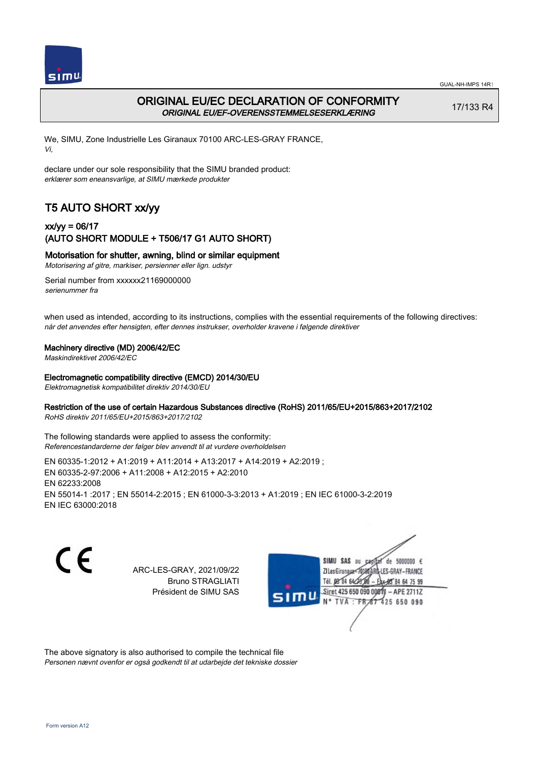

# ORIGINAL EU/EC DECLARATION OF CONFORMITY ORIGINAL EU/EF-OVERENSSTEMMELSESERKLÆRING

17/133 R4

We, SIMU, Zone Industrielle Les Giranaux 70100 ARC-LES-GRAY FRANCE, Vi,

declare under our sole responsibility that the SIMU branded product: erklærer som eneansvarlige, at SIMU mærkede produkter

# T5 AUTO SHORT xx/yy

## xx/yy = 06/17 (AUTO SHORT MODULE + T506/17 G1 AUTO SHORT)

### Motorisation for shutter, awning, blind or similar equipment

Motorisering af gitre, markiser, persienner eller lign. udstyr

Serial number from xxxxxx21169000000 serienummer fra

when used as intended, according to its instructions, complies with the essential requirements of the following directives: når det anvendes efter hensigten, efter dennes instrukser, overholder kravene i følgende direktiver

#### Machinery directive (MD) 2006/42/EC

Maskindirektivet 2006/42/EC

#### Electromagnetic compatibility directive (EMCD) 2014/30/EU

Elektromagnetisk kompatibilitet direktiv 2014/30/EU

### Restriction of the use of certain Hazardous Substances directive (RoHS) 2011/65/EU+2015/863+2017/2102

RoHS direktiv 2011/65/EU+2015/863+2017/2102

The following standards were applied to assess the conformity: Referencestandarderne der følger blev anvendt til at vurdere overholdelsen

EN 60335‑1:2012 + A1:2019 + A11:2014 + A13:2017 + A14:2019 + A2:2019 ; EN 60335‑2‑97:2006 + A11:2008 + A12:2015 + A2:2010 EN 62233:2008 EN 55014‑1 :2017 ; EN 55014‑2:2015 ; EN 61000‑3‑3:2013 + A1:2019 ; EN IEC 61000‑3‑2:2019 EN IEC 63000:2018

C E

ARC-LES-GRAY, 2021/09/22 Bruno STRAGLIATI Président de SIMU SAS



The above signatory is also authorised to compile the technical file Personen nævnt ovenfor er også godkendt til at udarbejde det tekniske dossier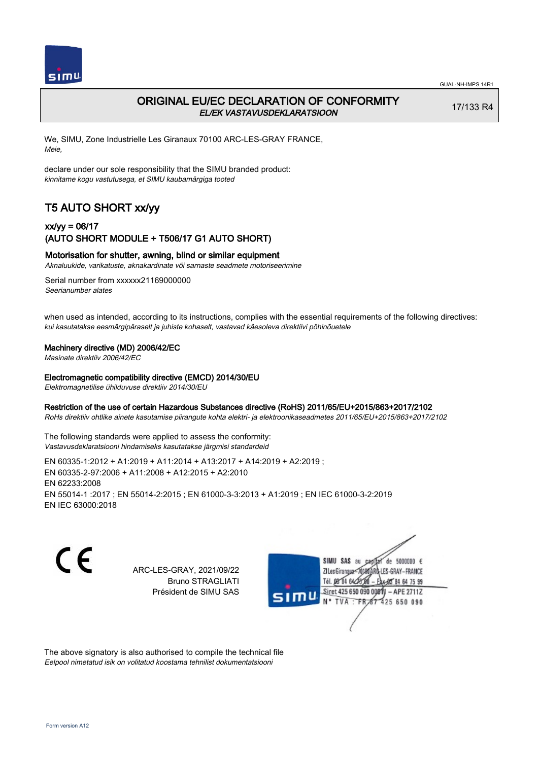

# ORIGINAL EU/EC DECLARATION OF CONFORMITY EL/EK VASTAVUSDEKLARATSIOON

17/133 R4

We, SIMU, Zone Industrielle Les Giranaux 70100 ARC-LES-GRAY FRANCE, Meie,

declare under our sole responsibility that the SIMU branded product: kinnitame kogu vastutusega, et SIMU kaubamärgiga tooted

# T5 AUTO SHORT xx/yy

## xx/yy = 06/17 (AUTO SHORT MODULE + T506/17 G1 AUTO SHORT)

### Motorisation for shutter, awning, blind or similar equipment

Aknaluukide, varikatuste, aknakardinate või sarnaste seadmete motoriseerimine

Serial number from xxxxxx21169000000 Seerianumber alates

when used as intended, according to its instructions, complies with the essential requirements of the following directives: kui kasutatakse eesmärgipäraselt ja juhiste kohaselt, vastavad käesoleva direktiivi põhinõuetele

#### Machinery directive (MD) 2006/42/EC

Masinate direktiiv 2006/42/EC

#### Electromagnetic compatibility directive (EMCD) 2014/30/EU

Elektromagnetilise ühilduvuse direktiiv 2014/30/EU

#### Restriction of the use of certain Hazardous Substances directive (RoHS) 2011/65/EU+2015/863+2017/2102

RoHs direktiiv ohtlike ainete kasutamise piirangute kohta elektri- ja elektroonikaseadmetes 2011/65/EU+2015/863+2017/2102

The following standards were applied to assess the conformity: Vastavusdeklaratsiooni hindamiseks kasutatakse järgmisi standardeid

EN 60335‑1:2012 + A1:2019 + A11:2014 + A13:2017 + A14:2019 + A2:2019 ; EN 60335‑2‑97:2006 + A11:2008 + A12:2015 + A2:2010 EN 62233:2008 EN 55014‑1 :2017 ; EN 55014‑2:2015 ; EN 61000‑3‑3:2013 + A1:2019 ; EN IEC 61000‑3‑2:2019 EN IEC 63000:2018

C E

ARC-LES-GRAY, 2021/09/22 Bruno STRAGLIATI Président de SIMU SAS



The above signatory is also authorised to compile the technical file Eelpool nimetatud isik on volitatud koostama tehnilist dokumentatsiooni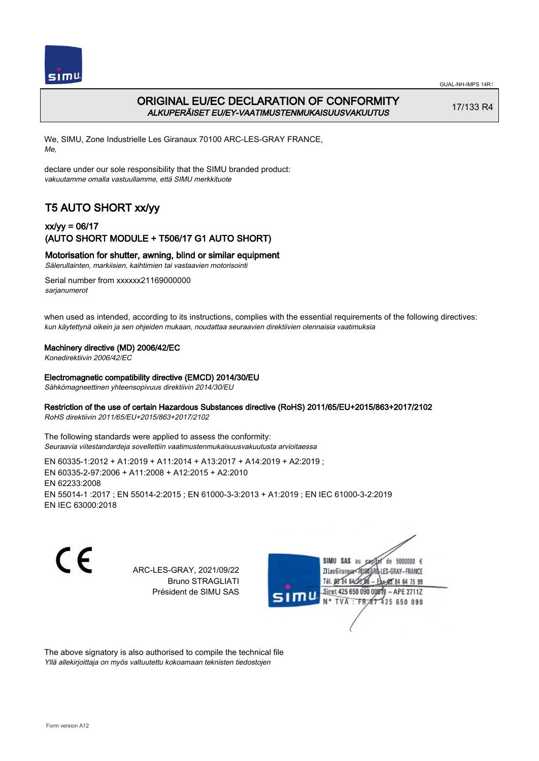

# ORIGINAL EU/EC DECLARATION OF CONFORMITY ALKUPERÄISET EU/EY-VAATIMUSTENMUKAISUUSVAKUUTUS

17/133 R4

We, SIMU, Zone Industrielle Les Giranaux 70100 ARC-LES-GRAY FRANCE, Me,

declare under our sole responsibility that the SIMU branded product: vakuutamme omalla vastuullamme, että SIMU merkkituote

# T5 AUTO SHORT xx/yy

## xx/yy = 06/17 (AUTO SHORT MODULE + T506/17 G1 AUTO SHORT)

### Motorisation for shutter, awning, blind or similar equipment

Sälerullainten, markiisien, kaihtimien tai vastaavien motorisointi

Serial number from xxxxxx21169000000 sarianumerot

when used as intended, according to its instructions, complies with the essential requirements of the following directives: kun käytettynä oikein ja sen ohjeiden mukaan, noudattaa seuraavien direktiivien olennaisia vaatimuksia

#### Machinery directive (MD) 2006/42/EC

Konedirektiivin 2006/42/EC

#### Electromagnetic compatibility directive (EMCD) 2014/30/EU

Sähkömagneettinen yhteensopivuus direktiivin 2014/30/EU

### Restriction of the use of certain Hazardous Substances directive (RoHS) 2011/65/EU+2015/863+2017/2102

RoHS direktiivin 2011/65/EU+2015/863+2017/2102

The following standards were applied to assess the conformity: Seuraavia viitestandardeja sovellettiin vaatimustenmukaisuusvakuutusta arvioitaessa

EN 60335‑1:2012 + A1:2019 + A11:2014 + A13:2017 + A14:2019 + A2:2019 ; EN 60335‑2‑97:2006 + A11:2008 + A12:2015 + A2:2010 EN 62233:2008 EN 55014‑1 :2017 ; EN 55014‑2:2015 ; EN 61000‑3‑3:2013 + A1:2019 ; EN IEC 61000‑3‑2:2019 EN IEC 63000:2018

C F

ARC-LES-GRAY, 2021/09/22 Bruno STRAGLIATI Président de SIMU SAS



The above signatory is also authorised to compile the technical file Yllä allekirjoittaja on myös valtuutettu kokoamaan teknisten tiedostojen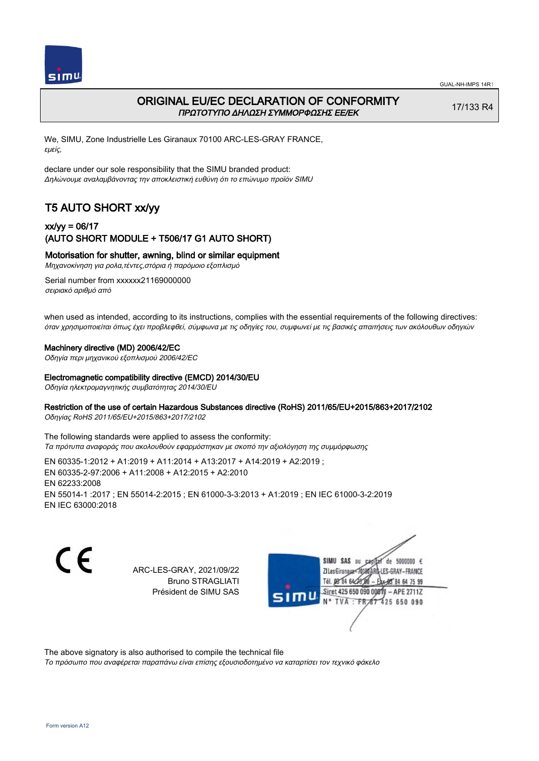

## ORIGINAL EU/EC DECLARATION OF CONFORMITY ΠΡΩΤΟΤΥΠΟ ΔΗΛΩΣΗ ΣΥΜΜΟΡΦΩΣΗΣ ΕΕ/EK

17/133 R4

We, SIMU, Zone Industrielle Les Giranaux 70100 ARC-LES-GRAY FRANCE, εμείς,

declare under our sole responsibility that the SIMU branded product: Δηλώνουμε αναλαμβάνοντας την αποκλειστική ευθύνη ότι το επώνυμο προϊόν SIMU

# T5 AUTO SHORT xx/yy

## xx/yy = 06/17 (AUTO SHORT MODULE + T506/17 G1 AUTO SHORT)

Motorisation for shutter, awning, blind or similar equipment

Μηχανοκίνηση για ρολα,τέντες,στόρια ή παρόμοιο εξοπλισμό

Serial number from xxxxxx21169000000 σειριακό αριθμό από

when used as intended, according to its instructions, complies with the essential requirements of the following directives: όταν χρησιμοποιείται όπως έχει προβλεφθεί, σύμφωνα με τις οδηγίες του, συμφωνεί με τις βασικές απαιτήσεις των ακόλουθων οδηγιών

#### Machinery directive (MD) 2006/42/EC

Οδηγία περι μηχανικού εξοπλισμού 2006/42/EC

#### Electromagnetic compatibility directive (EMCD) 2014/30/EU

Οδηγία ηλεκτρομαγνητικής συμβατότητας 2014/30/EU

#### Restriction of the use of certain Hazardous Substances directive (RoHS) 2011/65/EU+2015/863+2017/2102

Οδηγίας RoHS 2011/65/EU+2015/863+2017/2102

The following standards were applied to assess the conformity: Τα πρότυπα αναφοράς που ακολουθούν εφαρμόστηκαν με σκοπό την αξιολόγηση της συμμόρφωσης

EN 60335‑1:2012 + A1:2019 + A11:2014 + A13:2017 + A14:2019 + A2:2019 ; EN 60335‑2‑97:2006 + A11:2008 + A12:2015 + A2:2010 EN 62233:2008 EN 55014‑1 :2017 ; EN 55014‑2:2015 ; EN 61000‑3‑3:2013 + A1:2019 ; EN IEC 61000‑3‑2:2019 EN IEC 63000:2018

C E

ARC-LES-GRAY, 2021/09/22 Bruno STRAGLIATI Président de SIMU SAS



The above signatory is also authorised to compile the technical file

Το πρόσωπο που αναφέρεται παραπάνω είναι επίσης εξουσιοδοτημένο να καταρτίσει τον τεχνικό φάκελο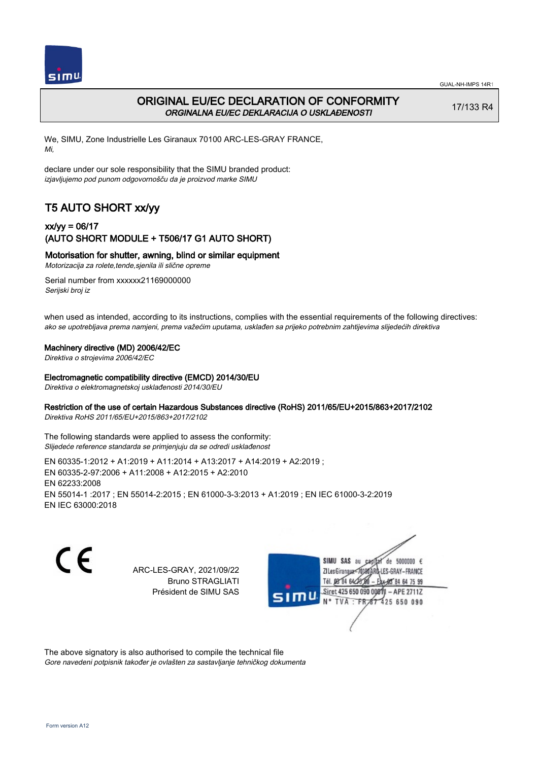

# ORIGINAL EU/EC DECLARATION OF CONFORMITY ORGINALNA EU/EC DEKLARACIJA O USKLAĐENOSTI

17/133 R4

We, SIMU, Zone Industrielle Les Giranaux 70100 ARC-LES-GRAY FRANCE, Mi,

declare under our sole responsibility that the SIMU branded product: izjavljujemo pod punom odgovornošču da je proizvod marke SIMU

# T5 AUTO SHORT xx/yy

## xx/yy = 06/17 (AUTO SHORT MODULE + T506/17 G1 AUTO SHORT)

### Motorisation for shutter, awning, blind or similar equipment

Motorizacija za rolete,tende,sjenila ili slične opreme

Serial number from xxxxxx21169000000 Serijski broj iz

when used as intended, according to its instructions, complies with the essential requirements of the following directives: ako se upotrebljava prema namjeni, prema važećim uputama, usklađen sa prijeko potrebnim zahtijevima slijedećih direktiva

### Machinery directive (MD) 2006/42/EC

Direktiva o strojevima 2006/42/EC

#### Electromagnetic compatibility directive (EMCD) 2014/30/EU

Direktiva o elektromagnetskoj usklađenosti 2014/30/EU

### Restriction of the use of certain Hazardous Substances directive (RoHS) 2011/65/EU+2015/863+2017/2102

Direktiva RoHS 2011/65/EU+2015/863+2017/2102

The following standards were applied to assess the conformity: Slijedeće reference standarda se primjenjuju da se odredi usklađenost

EN 60335‑1:2012 + A1:2019 + A11:2014 + A13:2017 + A14:2019 + A2:2019 ; EN 60335‑2‑97:2006 + A11:2008 + A12:2015 + A2:2010 EN 62233:2008 EN 55014‑1 :2017 ; EN 55014‑2:2015 ; EN 61000‑3‑3:2013 + A1:2019 ; EN IEC 61000‑3‑2:2019 EN IEC 63000:2018

C F

ARC-LES-GRAY, 2021/09/22 Bruno STRAGLIATI Président de SIMU SAS

de 5000000  $\epsilon$ **ZI Les Giranaux** ES-GRAY-FRANCE Tél. 08 84 64 24 85 84 64 75 99 Siret 425 650 090 00811 - APE 2711Z 425 650 090 **TVA** 

The above signatory is also authorised to compile the technical file Gore navedeni potpisnik također je ovlašten za sastavljanje tehničkog dokumenta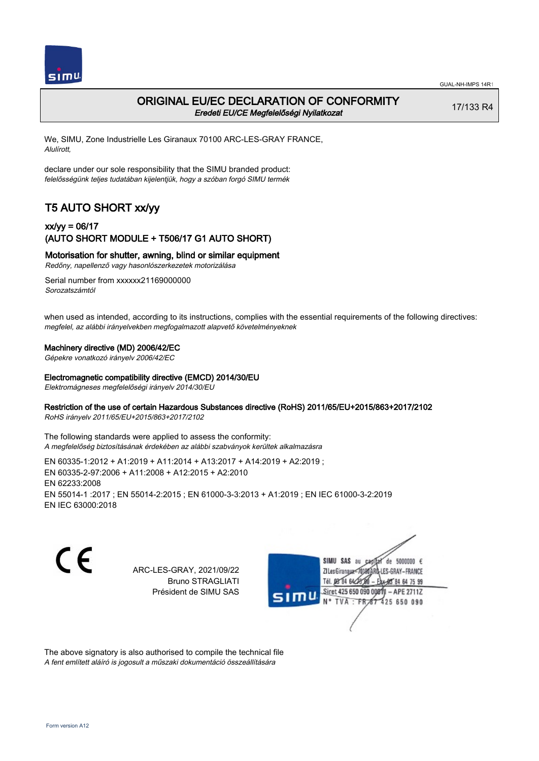

## ORIGINAL EU/EC DECLARATION OF CONFORMITY Eredeti EU/CE Megfelelőségi Nyilatkozat

17/133 R4

We, SIMU, Zone Industrielle Les Giranaux 70100 ARC-LES-GRAY FRANCE, Alulírott,

declare under our sole responsibility that the SIMU branded product: felelősségünk teljes tudatában kijelentjük, hogy a szóban forgó SIMU termék

# T5 AUTO SHORT xx/yy

## xx/yy = 06/17 (AUTO SHORT MODULE + T506/17 G1 AUTO SHORT)

Motorisation for shutter, awning, blind or similar equipment

Redőny, napellenző vagy hasonlószerkezetek motorizálása

Serial number from xxxxxx21169000000 Sorozatszámtól

when used as intended, according to its instructions, complies with the essential requirements of the following directives: megfelel, az alábbi irányelvekben megfogalmazott alapvető követelményeknek

### Machinery directive (MD) 2006/42/EC

Gépekre vonatkozó irányelv 2006/42/EC

#### Electromagnetic compatibility directive (EMCD) 2014/30/EU

Elektromágneses megfelelőségi irányelv 2014/30/EU

### Restriction of the use of certain Hazardous Substances directive (RoHS) 2011/65/EU+2015/863+2017/2102

RoHS irányelv 2011/65/EU+2015/863+2017/2102

The following standards were applied to assess the conformity: A megfelelőség biztosításának érdekében az alábbi szabványok kerültek alkalmazásra

EN 60335‑1:2012 + A1:2019 + A11:2014 + A13:2017 + A14:2019 + A2:2019 ; EN 60335‑2‑97:2006 + A11:2008 + A12:2015 + A2:2010 EN 62233:2008 EN 55014‑1 :2017 ; EN 55014‑2:2015 ; EN 61000‑3‑3:2013 + A1:2019 ; EN IEC 61000‑3‑2:2019 EN IEC 63000:2018

C F

ARC-LES-GRAY, 2021/09/22 Bruno STRAGLIATI Président de SIMU SAS



The above signatory is also authorised to compile the technical file A fent említett aláíró is jogosult a műszaki dokumentáció összeállítására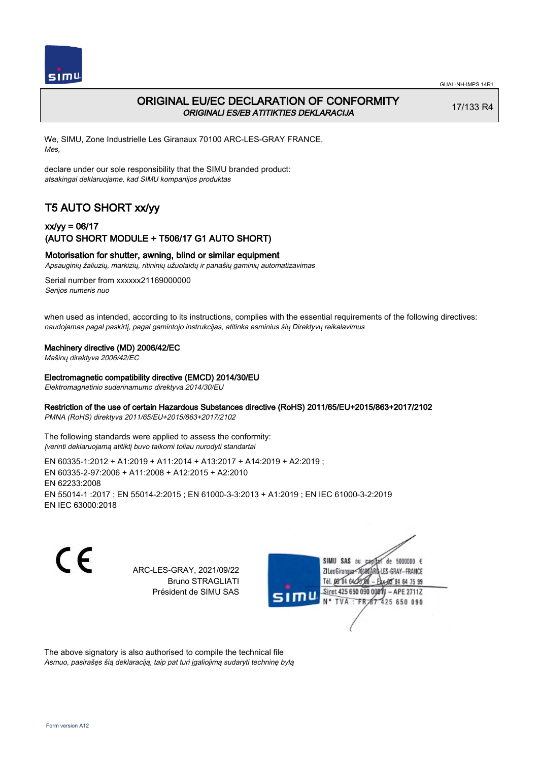

# ORIGINAL EU/EC DECLARATION OF CONFORMITY ORIGINALI ES/EB ATITIKTIES DEKLARACIJA

17/133 R4

We, SIMU, Zone Industrielle Les Giranaux 70100 ARC-LES-GRAY FRANCE, Mes,

declare under our sole responsibility that the SIMU branded product: atsakingai deklaruojame, kad SIMU kompanijos produktas

# T5 AUTO SHORT xx/yy

## xx/yy = 06/17 (AUTO SHORT MODULE + T506/17 G1 AUTO SHORT)

### Motorisation for shutter, awning, blind or similar equipment

Apsauginių žaliuzių, markizių, ritininių užuolaidų ir panašių gaminių automatizavimas

Serial number from xxxxxx21169000000 Serijos numeris nuo

when used as intended, according to its instructions, complies with the essential requirements of the following directives: naudojamas pagal paskirtį, pagal gamintojo instrukcijas, atitinka esminius šių Direktyvų reikalavimus

#### Machinery directive (MD) 2006/42/EC

Mašinų direktyva 2006/42/EC

#### Electromagnetic compatibility directive (EMCD) 2014/30/EU

Elektromagnetinio suderinamumo direktyva 2014/30/EU

### Restriction of the use of certain Hazardous Substances directive (RoHS) 2011/65/EU+2015/863+2017/2102

PMNA (RoHS) direktyva 2011/65/EU+2015/863+2017/2102

The following standards were applied to assess the conformity: Įverinti deklaruojamą atitiktį buvo taikomi toliau nurodyti standartai

EN 60335‑1:2012 + A1:2019 + A11:2014 + A13:2017 + A14:2019 + A2:2019 ; EN 60335‑2‑97:2006 + A11:2008 + A12:2015 + A2:2010 EN 62233:2008 EN 55014‑1 :2017 ; EN 55014‑2:2015 ; EN 61000‑3‑3:2013 + A1:2019 ; EN IEC 61000‑3‑2:2019 EN IEC 63000:2018

C F

ARC-LES-GRAY, 2021/09/22 Bruno STRAGLIATI Président de SIMU SAS



The above signatory is also authorised to compile the technical file Asmuo, pasirašęs šią deklaraciją, taip pat turi įgaliojimą sudaryti techninę bylą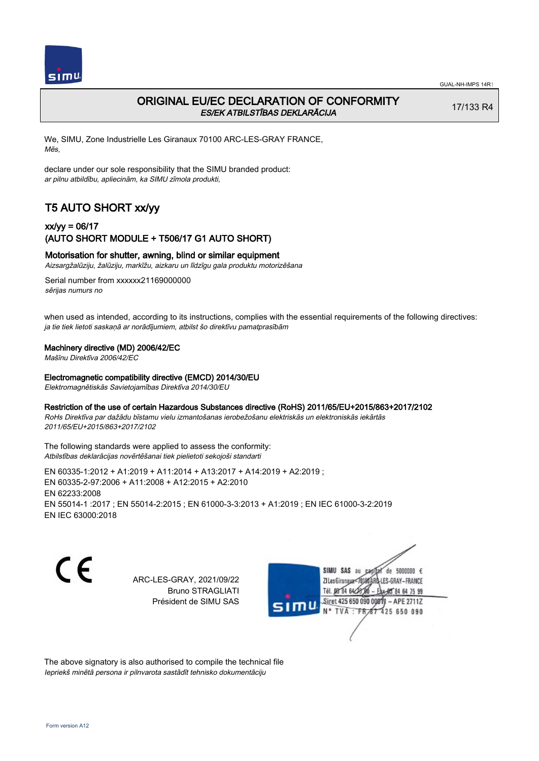

# ORIGINAL EU/EC DECLARATION OF CONFORMITY ES/EK ATBILSTĪBAS DEKLARĀCIJA

17/133 R4

We, SIMU, Zone Industrielle Les Giranaux 70100 ARC-LES-GRAY FRANCE, Mēs,

declare under our sole responsibility that the SIMU branded product: ar pilnu atbildību, apliecinām, ka SIMU zīmola produkti,

# T5 AUTO SHORT xx/yy

## xx/yy = 06/17 (AUTO SHORT MODULE + T506/17 G1 AUTO SHORT)

### Motorisation for shutter, awning, blind or similar equipment

Aizsargžalūziju, žalūziju, markīžu, aizkaru un līdzīgu gala produktu motorizēšana

Serial number from xxxxxx21169000000 sērijas numurs no

when used as intended, according to its instructions, complies with the essential requirements of the following directives: ja tie tiek lietoti saskaņā ar norādījumiem, atbilst šo direktīvu pamatprasībām

#### Machinery directive (MD) 2006/42/EC

Mašīnu Direktīva 2006/42/EC

#### Electromagnetic compatibility directive (EMCD) 2014/30/EU

Elektromagnētiskās Savietojamības Direktīva 2014/30/EU

### Restriction of the use of certain Hazardous Substances directive (RoHS) 2011/65/EU+2015/863+2017/2102

RoHs Direktīva par dažādu bīstamu vielu izmantošanas ierobežošanu elektriskās un elektroniskās iekārtās 2011/65/EU+2015/863+2017/2102

The following standards were applied to assess the conformity: Atbilstības deklarācijas novērtēšanai tiek pielietoti sekojoši standarti

EN 60335‑1:2012 + A1:2019 + A11:2014 + A13:2017 + A14:2019 + A2:2019 ; EN 60335‑2‑97:2006 + A11:2008 + A12:2015 + A2:2010 EN 62233:2008 EN 55014‑1 :2017 ; EN 55014‑2:2015 ; EN 61000‑3‑3:2013 + A1:2019 ; EN IEC 61000‑3‑2:2019 EN IEC 63000:2018

C E

ARC-LES-GRAY, 2021/09/22 Bruno STRAGLIATI Président de SIMU SAS

SIMU SAS de 5000000  $\epsilon$ **ZILesGiranaux** ES-GRAY-FRANCE 64 75 99 Siret 425 650 090 00811  $-$  APE 2711Z **TVA** 425 650 090

The above signatory is also authorised to compile the technical file Iepriekš minētā persona ir pilnvarota sastādīt tehnisko dokumentāciju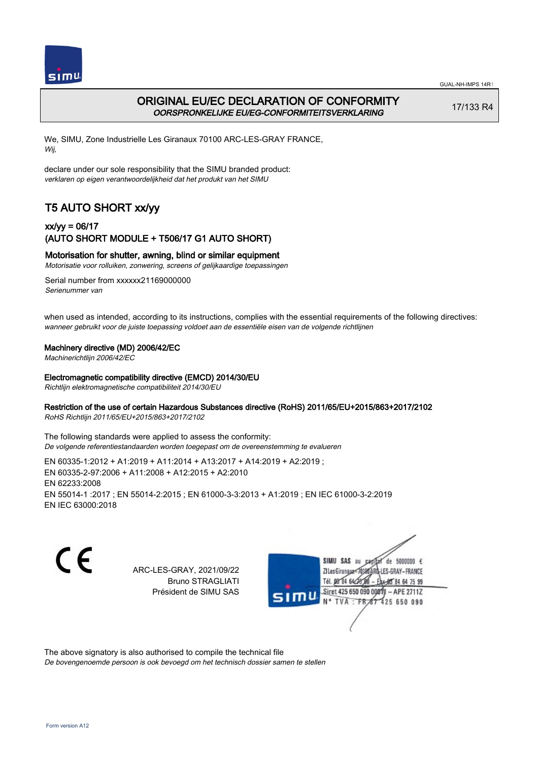

# ORIGINAL EU/EC DECLARATION OF CONFORMITY OORSPRONKELIJKE EU/EG-CONFORMITEITSVERKLARING

17/133 R4

We, SIMU, Zone Industrielle Les Giranaux 70100 ARC-LES-GRAY FRANCE, Wij,

declare under our sole responsibility that the SIMU branded product: verklaren op eigen verantwoordelijkheid dat het produkt van het SIMU

# T5 AUTO SHORT xx/yy

## xx/yy = 06/17 (AUTO SHORT MODULE + T506/17 G1 AUTO SHORT)

### Motorisation for shutter, awning, blind or similar equipment

Motorisatie voor rolluiken, zonwering, screens of gelijkaardige toepassingen

Serial number from xxxxxx21169000000 Serienummer van

when used as intended, according to its instructions, complies with the essential requirements of the following directives: wanneer gebruikt voor de juiste toepassing voldoet aan de essentiële eisen van de volgende richtlijnen

#### Machinery directive (MD) 2006/42/EC

Machinerichtlijn 2006/42/EC

#### Electromagnetic compatibility directive (EMCD) 2014/30/EU

Richtlijn elektromagnetische compatibiliteit 2014/30/EU

### Restriction of the use of certain Hazardous Substances directive (RoHS) 2011/65/EU+2015/863+2017/2102

RoHS Richtlijn 2011/65/EU+2015/863+2017/2102

The following standards were applied to assess the conformity: De volgende referentiestandaarden worden toegepast om de overeenstemming te evalueren

EN 60335‑1:2012 + A1:2019 + A11:2014 + A13:2017 + A14:2019 + A2:2019 ; EN 60335‑2‑97:2006 + A11:2008 + A12:2015 + A2:2010 EN 62233:2008 EN 55014‑1 :2017 ; EN 55014‑2:2015 ; EN 61000‑3‑3:2013 + A1:2019 ; EN IEC 61000‑3‑2:2019 EN IEC 63000:2018

C F

ARC-LES-GRAY, 2021/09/22 Bruno STRAGLIATI Président de SIMU SAS



The above signatory is also authorised to compile the technical file

De bovengenoemde persoon is ook bevoegd om het technisch dossier samen te stellen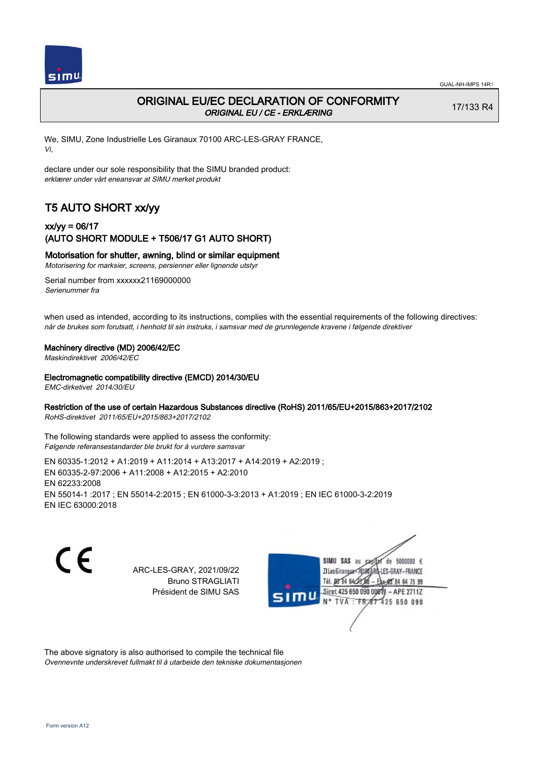

# ORIGINAL EU/EC DECLARATION OF CONFORMITY ORIGINAL EU / CE - ERKLÆRING

17/133 R4

We, SIMU, Zone Industrielle Les Giranaux 70100 ARC-LES-GRAY FRANCE, Vi,

declare under our sole responsibility that the SIMU branded product: erklærer under vårt eneansvar at SIMU merket produkt

# T5 AUTO SHORT xx/yy

## xx/yy = 06/17 (AUTO SHORT MODULE + T506/17 G1 AUTO SHORT)

### Motorisation for shutter, awning, blind or similar equipment

Motorisering for marksier, screens, persienner eller lignende utstyr

Serial number from xxxxxx21169000000 Serienummer fra

when used as intended, according to its instructions, complies with the essential requirements of the following directives: når de brukes som forutsatt, i henhold til sin instruks, i samsvar med de grunnlegende kravene i følgende direktiver

#### Machinery directive (MD) 2006/42/EC

Maskindirektivet 2006/42/EC

#### Electromagnetic compatibility directive (EMCD) 2014/30/EU

EMC-dirketivet 2014/30/EU

### Restriction of the use of certain Hazardous Substances directive (RoHS) 2011/65/EU+2015/863+2017/2102

RoHS-direktivet 2011/65/EU+2015/863+2017/2102

The following standards were applied to assess the conformity: Følgende referansestandarder ble brukt for å vurdere samsvar

EN 60335‑1:2012 + A1:2019 + A11:2014 + A13:2017 + A14:2019 + A2:2019 ; EN 60335‑2‑97:2006 + A11:2008 + A12:2015 + A2:2010 EN 62233:2008 EN 55014‑1 :2017 ; EN 55014‑2:2015 ; EN 61000‑3‑3:2013 + A1:2019 ; EN IEC 61000‑3‑2:2019 EN IEC 63000:2018

 $\epsilon$ 

ARC-LES-GRAY, 2021/09/22 Bruno STRAGLIATI Président de SIMU SAS



The above signatory is also authorised to compile the technical file Ovennevnte underskrevet fullmakt til å utarbeide den tekniske dokumentasjonen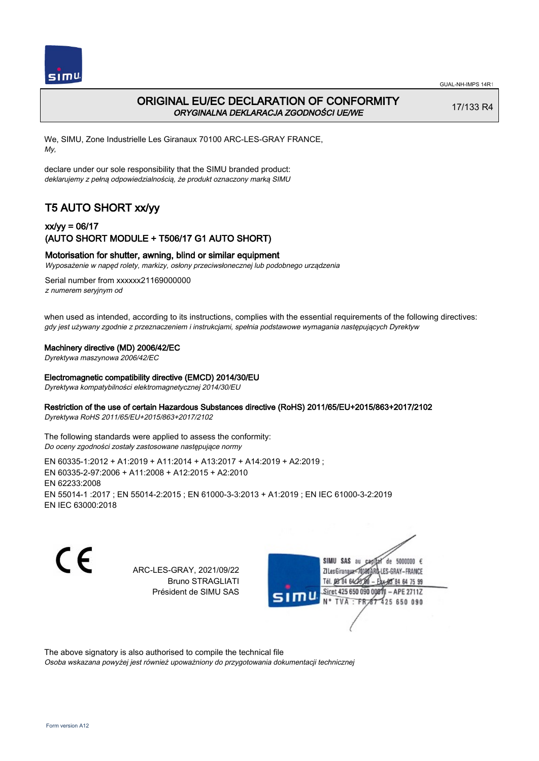

# ORIGINAL EU/EC DECLARATION OF CONFORMITY ORYGINALNA DEKLARACJA ZGODNOŚCI UE/WE

17/133 R4

We, SIMU, Zone Industrielle Les Giranaux 70100 ARC-LES-GRAY FRANCE, My,

declare under our sole responsibility that the SIMU branded product: deklarujemy z pełną odpowiedzialnością, że produkt oznaczony marką SIMU

# T5 AUTO SHORT xx/yy

## xx/yy = 06/17 (AUTO SHORT MODULE + T506/17 G1 AUTO SHORT)

### Motorisation for shutter, awning, blind or similar equipment

Wyposażenie w napęd rolety, markizy, osłony przeciwsłonecznej lub podobnego urządzenia

Serial number from xxxxxx21169000000 z numerem seryjnym od

when used as intended, according to its instructions, complies with the essential requirements of the following directives: gdy jest używany zgodnie z przeznaczeniem i instrukcjami, spełnia podstawowe wymagania następujących Dyrektyw

#### Machinery directive (MD) 2006/42/EC

Dyrektywa maszynowa 2006/42/EC

#### Electromagnetic compatibility directive (EMCD) 2014/30/EU

Dyrektywa kompatybilności elektromagnetycznej 2014/30/EU

#### Restriction of the use of certain Hazardous Substances directive (RoHS) 2011/65/EU+2015/863+2017/2102

Dyrektywa RoHS 2011/65/EU+2015/863+2017/2102

The following standards were applied to assess the conformity: Do oceny zgodności zostały zastosowane następujące normy

EN 60335‑1:2012 + A1:2019 + A11:2014 + A13:2017 + A14:2019 + A2:2019 ; EN 60335‑2‑97:2006 + A11:2008 + A12:2015 + A2:2010 EN 62233:2008 EN 55014‑1 :2017 ; EN 55014‑2:2015 ; EN 61000‑3‑3:2013 + A1:2019 ; EN IEC 61000‑3‑2:2019 EN IEC 63000:2018

 $\epsilon$ 

ARC-LES-GRAY, 2021/09/22 Bruno STRAGLIATI Président de SIMU SAS

de 5000000  $\epsilon$ **ZILes Giranaux** ES-GRAY-FRANCE Tél. 08 84 64 24 85 84 64 75 99 Siret 425 650 090 00811 - APE 2711Z 425 650 090 TVA

The above signatory is also authorised to compile the technical file

Osoba wskazana powyżej jest również upoważniony do przygotowania dokumentacji technicznej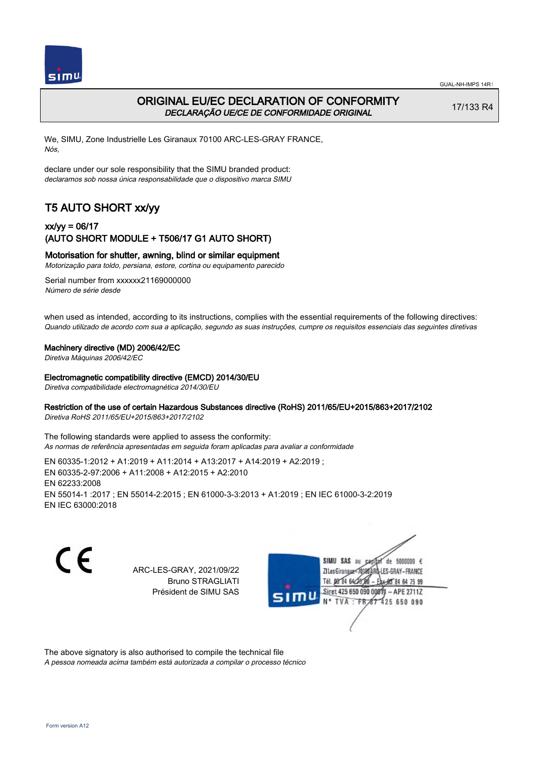

# ORIGINAL EU/EC DECLARATION OF CONFORMITY DECLARAÇÃO UE/CE DE CONFORMIDADE ORIGINAL

17/133 R4

We, SIMU, Zone Industrielle Les Giranaux 70100 ARC-LES-GRAY FRANCE, Nós,

declare under our sole responsibility that the SIMU branded product: declaramos sob nossa única responsabilidade que o dispositivo marca SIMU

# T5 AUTO SHORT xx/yy

### xx/yy = 06/17 (AUTO SHORT MODULE + T506/17 G1 AUTO SHORT)

### Motorisation for shutter, awning, blind or similar equipment

Motorização para toldo, persiana, estore, cortina ou equipamento parecido

Serial number from xxxxxx21169000000 Número de série desde

when used as intended, according to its instructions, complies with the essential requirements of the following directives: Quando utilizado de acordo com sua a aplicação, segundo as suas instruções, cumpre os requisitos essenciais das seguintes diretivas

#### Machinery directive (MD) 2006/42/EC

Diretiva Máquinas 2006/42/EC

#### Electromagnetic compatibility directive (EMCD) 2014/30/EU

Diretiva compatibilidade electromagnética 2014/30/EU

### Restriction of the use of certain Hazardous Substances directive (RoHS) 2011/65/EU+2015/863+2017/2102

Diretiva RoHS 2011/65/EU+2015/863+2017/2102

The following standards were applied to assess the conformity: As normas de referência apresentadas em seguida foram aplicadas para avaliar a conformidade

EN 60335‑1:2012 + A1:2019 + A11:2014 + A13:2017 + A14:2019 + A2:2019 ; EN 60335‑2‑97:2006 + A11:2008 + A12:2015 + A2:2010 EN 62233:2008 EN 55014‑1 :2017 ; EN 55014‑2:2015 ; EN 61000‑3‑3:2013 + A1:2019 ; EN IEC 61000‑3‑2:2019 EN IEC 63000:2018

C F

ARC-LES-GRAY, 2021/09/22 Bruno STRAGLIATI Président de SIMU SAS



The above signatory is also authorised to compile the technical file

A pessoa nomeada acima também está autorizada a compilar o processo técnico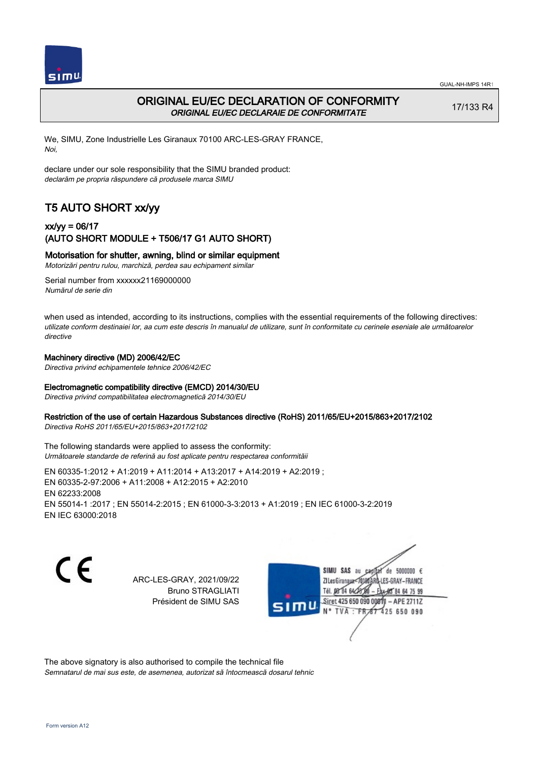

# ORIGINAL EU/EC DECLARATION OF CONFORMITY ORIGINAL EU/EC DECLARAIE DE CONFORMITATE

17/133 R4

We, SIMU, Zone Industrielle Les Giranaux 70100 ARC-LES-GRAY FRANCE, Noi,

declare under our sole responsibility that the SIMU branded product: declarăm pe propria răspundere că produsele marca SIMU

# T5 AUTO SHORT xx/yy

## xx/yy = 06/17 (AUTO SHORT MODULE + T506/17 G1 AUTO SHORT)

### Motorisation for shutter, awning, blind or similar equipment

Motorizări pentru rulou, marchiză, perdea sau echipament similar

Serial number from xxxxxx21169000000 Numărul de serie din

when used as intended, according to its instructions, complies with the essential requirements of the following directives: utilizate conform destinaiei lor, aa cum este descris în manualul de utilizare, sunt în conformitate cu cerinele eseniale ale următoarelor directive

#### Machinery directive (MD) 2006/42/EC

Directiva privind echipamentele tehnice 2006/42/EC

### Electromagnetic compatibility directive (EMCD) 2014/30/EU

Directiva privind compatibilitatea electromagnetică 2014/30/EU

#### Restriction of the use of certain Hazardous Substances directive (RoHS) 2011/65/EU+2015/863+2017/2102

Directiva RoHS 2011/65/EU+2015/863+2017/2102

The following standards were applied to assess the conformity: Următoarele standarde de referină au fost aplicate pentru respectarea conformităii

EN 60335‑1:2012 + A1:2019 + A11:2014 + A13:2017 + A14:2019 + A2:2019 ; EN 60335‑2‑97:2006 + A11:2008 + A12:2015 + A2:2010 EN 62233:2008 EN 55014‑1 :2017 ; EN 55014‑2:2015 ; EN 61000‑3‑3:2013 + A1:2019 ; EN IEC 61000‑3‑2:2019 EN IEC 63000:2018

C E

ARC-LES-GRAY, 2021/09/22 Bruno STRAGLIATI Président de SIMU SAS

SIMU SAS de 5000000 € **ZILes Giranaux** ES-GRAY-FRANCE 64 75 99 Siret 425 650 090 00811  $-$  APE 2711Z 425 650 090

The above signatory is also authorised to compile the technical file Semnatarul de mai sus este, de asemenea, autorizat să întocmească dosarul tehnic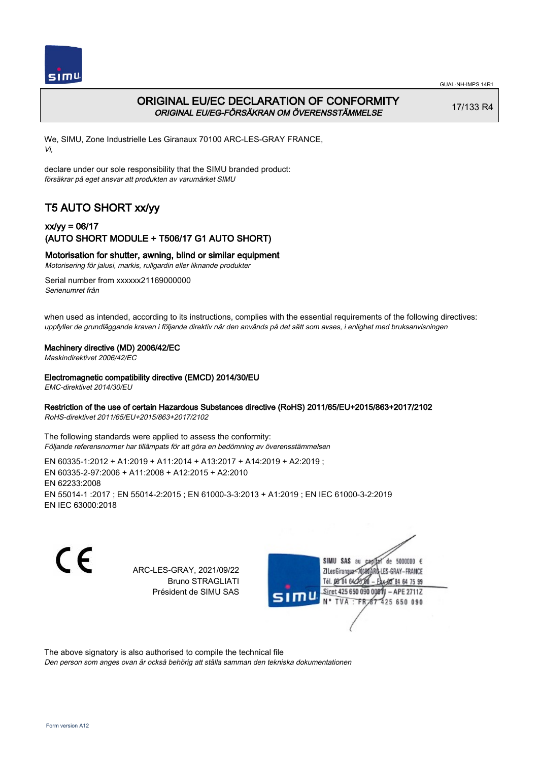

# ORIGINAL EU/EC DECLARATION OF CONFORMITY ORIGINAL EU/EG-FÖRSÄKRAN OM ÖVERENSSTÄMMELSE

17/133 R4

We, SIMU, Zone Industrielle Les Giranaux 70100 ARC-LES-GRAY FRANCE, Vi,

declare under our sole responsibility that the SIMU branded product: försäkrar på eget ansvar att produkten av varumärket SIMU

# T5 AUTO SHORT xx/yy

## xx/yy = 06/17 (AUTO SHORT MODULE + T506/17 G1 AUTO SHORT)

### Motorisation for shutter, awning, blind or similar equipment

Motorisering för jalusi, markis, rullgardin eller liknande produkter

Serial number from xxxxxx21169000000 Serienumret från

when used as intended, according to its instructions, complies with the essential requirements of the following directives: uppfyller de grundläggande kraven i följande direktiv när den används på det sätt som avses, i enlighet med bruksanvisningen

### Machinery directive (MD) 2006/42/EC

Maskindirektivet 2006/42/EC

#### Electromagnetic compatibility directive (EMCD) 2014/30/EU

EMC-direktivet 2014/30/EU

### Restriction of the use of certain Hazardous Substances directive (RoHS) 2011/65/EU+2015/863+2017/2102

RoHS-direktivet 2011/65/EU+2015/863+2017/2102

The following standards were applied to assess the conformity: Följande referensnormer har tillämpats för att göra en bedömning av överensstämmelsen

EN 60335‑1:2012 + A1:2019 + A11:2014 + A13:2017 + A14:2019 + A2:2019 ; EN 60335‑2‑97:2006 + A11:2008 + A12:2015 + A2:2010 EN 62233:2008 EN 55014‑1 :2017 ; EN 55014‑2:2015 ; EN 61000‑3‑3:2013 + A1:2019 ; EN IEC 61000‑3‑2:2019 EN IEC 63000:2018

C F

ARC-LES-GRAY, 2021/09/22 Bruno STRAGLIATI Président de SIMU SAS



The above signatory is also authorised to compile the technical file

Den person som anges ovan är också behörig att ställa samman den tekniska dokumentationen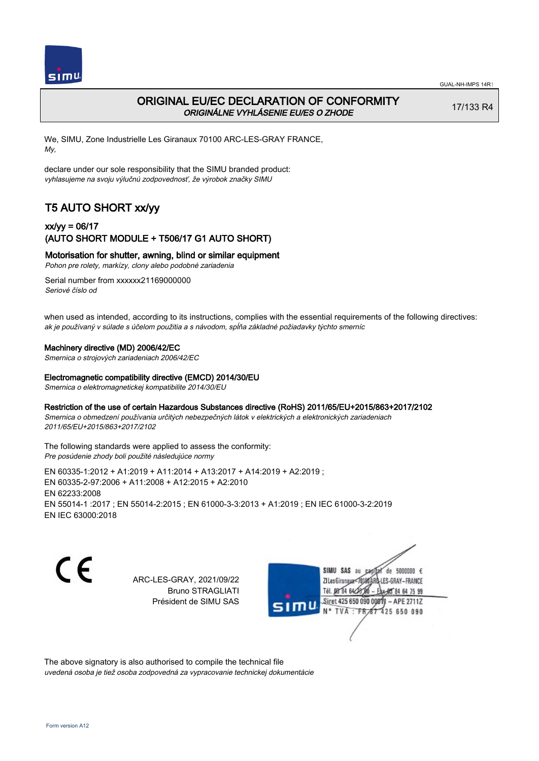

# ORIGINAL EU/EC DECLARATION OF CONFORMITY ORIGINÁLNE VYHLÁSENIE EU/ES O ZHODE

17/133 R4

We, SIMU, Zone Industrielle Les Giranaux 70100 ARC-LES-GRAY FRANCE, My,

declare under our sole responsibility that the SIMU branded product: vyhlasujeme na svoju výlučnú zodpovednosť, že výrobok značky SIMU

# T5 AUTO SHORT xx/yy

## xx/yy = 06/17 (AUTO SHORT MODULE + T506/17 G1 AUTO SHORT)

Motorisation for shutter, awning, blind or similar equipment

Pohon pre rolety, markízy, clony alebo podobné zariadenia

Serial number from xxxxxx21169000000 Seriové číslo od

when used as intended, according to its instructions, complies with the essential requirements of the following directives: ak je používaný v súlade s účelom použitia a s návodom, spĺňa základné požiadavky týchto smerníc

### Machinery directive (MD) 2006/42/EC

Smernica o strojových zariadeniach 2006/42/EC

### Electromagnetic compatibility directive (EMCD) 2014/30/EU

Smernica o elektromagnetickej kompatibilite 2014/30/EU

### Restriction of the use of certain Hazardous Substances directive (RoHS) 2011/65/EU+2015/863+2017/2102

Smernica o obmedzení používania určitých nebezpečných látok v elektrických a elektronických zariadeniach 2011/65/EU+2015/863+2017/2102

The following standards were applied to assess the conformity: Pre posúdenie zhody boli použité následujúce normy

EN 60335‑1:2012 + A1:2019 + A11:2014 + A13:2017 + A14:2019 + A2:2019 ; EN 60335‑2‑97:2006 + A11:2008 + A12:2015 + A2:2010 EN 62233:2008 EN 55014‑1 :2017 ; EN 55014‑2:2015 ; EN 61000‑3‑3:2013 + A1:2019 ; EN IEC 61000‑3‑2:2019 EN IEC 63000:2018

C E

ARC-LES-GRAY, 2021/09/22 Bruno STRAGLIATI Président de SIMU SAS

SIMU SAS de 5000000 € **ZILes Giranaux** ES-GRAY-FRANCE 64 75 99 Siret 425 650 090 00811  $-$  APE 2711Z 425 650 090

The above signatory is also authorised to compile the technical file uvedená osoba je tiež osoba zodpovedná za vypracovanie technickej dokumentácie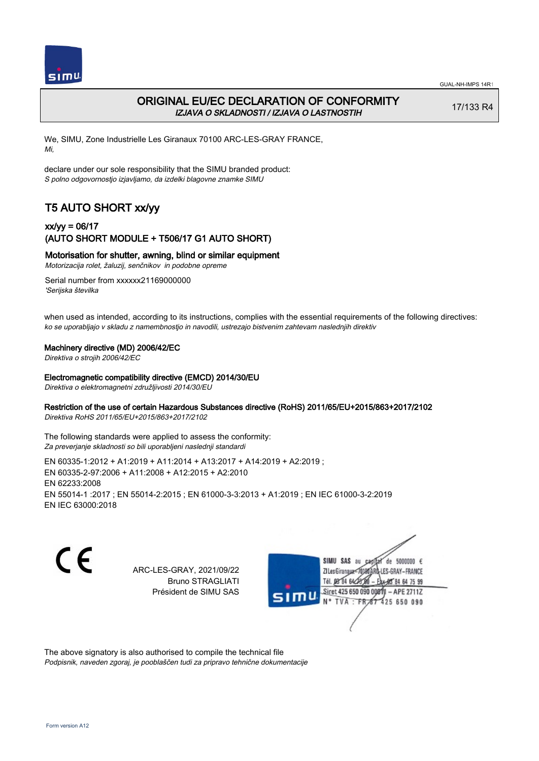

# ORIGINAL EU/EC DECLARATION OF CONFORMITY IZJAVA O SKLADNOSTI / IZJAVA O LASTNOSTIH

17/133 R4

We, SIMU, Zone Industrielle Les Giranaux 70100 ARC-LES-GRAY FRANCE, Mi,

declare under our sole responsibility that the SIMU branded product: S polno odgovornostjo izjavljamo, da izdelki blagovne znamke SIMU

# T5 AUTO SHORT xx/yy

## xx/yy = 06/17 (AUTO SHORT MODULE + T506/17 G1 AUTO SHORT)

### Motorisation for shutter, awning, blind or similar equipment

Motorizacija rolet, žaluzij, senčnikov in podobne opreme

Serial number from xxxxxx21169000000 'Serijska številka

when used as intended, according to its instructions, complies with the essential requirements of the following directives: ko se uporabljajo v skladu z namembnostjo in navodili, ustrezajo bistvenim zahtevam naslednjih direktiv

### Machinery directive (MD) 2006/42/EC

Direktiva o strojih 2006/42/EC

#### Electromagnetic compatibility directive (EMCD) 2014/30/EU

Direktiva o elektromagnetni združljivosti 2014/30/EU

### Restriction of the use of certain Hazardous Substances directive (RoHS) 2011/65/EU+2015/863+2017/2102

Direktiva RoHS 2011/65/EU+2015/863+2017/2102

The following standards were applied to assess the conformity: Za preverjanje skladnosti so bili uporabljeni naslednji standardi

EN 60335‑1:2012 + A1:2019 + A11:2014 + A13:2017 + A14:2019 + A2:2019 ; EN 60335‑2‑97:2006 + A11:2008 + A12:2015 + A2:2010 EN 62233:2008 EN 55014‑1 :2017 ; EN 55014‑2:2015 ; EN 61000‑3‑3:2013 + A1:2019 ; EN IEC 61000‑3‑2:2019 EN IEC 63000:2018

C F

ARC-LES-GRAY, 2021/09/22 Bruno STRAGLIATI Président de SIMU SAS



The above signatory is also authorised to compile the technical file Podpisnik, naveden zgoraj, je pooblaščen tudi za pripravo tehnične dokumentacije